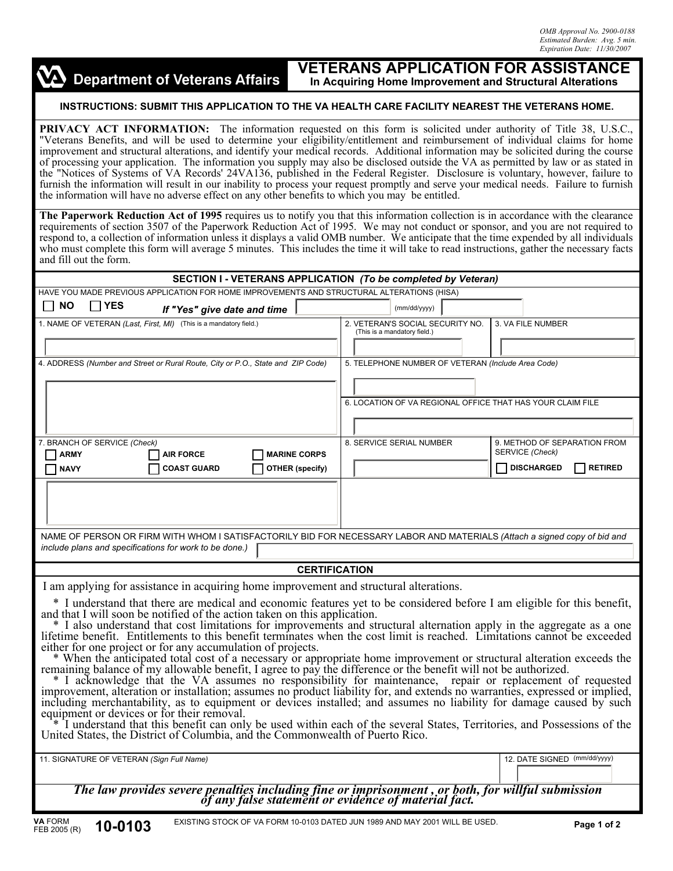

## **VETERANS APPLICATION FOR ASSISTANCE In Acquiring Home Improvement and Structural Alterations**

## **INSTRUCTIONS: SUBMIT THIS APPLICATION TO THE VA HEALTH CARE FACILITY NEAREST THE VETERANS HOME.**

**PRIVACY ACT INFORMATION:** The information requested on this form is solicited under authority of Title 38, U.S.C., "Veterans Benefits, and will be used to determine your eligibility/entitlement and reimbursement of individual claims for home improvement and structural alterations, and identify your medical records. Additional information may be solicited during the course of processing your application. The information you supply may also be disclosed outside the VA as permitted by law or as stated in the "Notices of Systems of VA Records' 24VA136, published in the Federal Register. Disclosure is voluntary, however, failure to furnish the information will result in our inability to process your request promptly and serve your medical needs. Failure to furnish the information will have no adverse effect on any other benefits to which you may be entitled.

**The Paperwork Reduction Act of 1995** requires us to notify you that this information collection is in accordance with the clearance requirements of section 3507 of the Paperwork Reduction Act of 1995. We may not conduct or sponsor, and you are not required to respond to, a collection of information unless it displays a valid OMB number. We anticipate that the time expended by all individuals who must complete this form will average 5 minutes. This includes the time it will take to read instructions, gather the necessary facts and fill out the form.

| SECTION I - VETERANS APPLICATION (To be completed by Veteran)                                                                                                                                                                                                                                                                                                                                                                                                                                                                                                                                                                                                                                                                                                                                                                                                                                                                                                                                                                                                                                                                                                                                                                                                                                                                                   |                                                                                                   |                             |                                                                  |  |                                                    |                              |  |                                                            |                              |
|-------------------------------------------------------------------------------------------------------------------------------------------------------------------------------------------------------------------------------------------------------------------------------------------------------------------------------------------------------------------------------------------------------------------------------------------------------------------------------------------------------------------------------------------------------------------------------------------------------------------------------------------------------------------------------------------------------------------------------------------------------------------------------------------------------------------------------------------------------------------------------------------------------------------------------------------------------------------------------------------------------------------------------------------------------------------------------------------------------------------------------------------------------------------------------------------------------------------------------------------------------------------------------------------------------------------------------------------------|---------------------------------------------------------------------------------------------------|-----------------------------|------------------------------------------------------------------|--|----------------------------------------------------|------------------------------|--|------------------------------------------------------------|------------------------------|
| HAVE YOU MADE PREVIOUS APPLICATION FOR HOME IMPROVEMENTS AND STRUCTURAL ALTERATIONS (HISA)                                                                                                                                                                                                                                                                                                                                                                                                                                                                                                                                                                                                                                                                                                                                                                                                                                                                                                                                                                                                                                                                                                                                                                                                                                                      |                                                                                                   |                             |                                                                  |  |                                                    |                              |  |                                                            |                              |
| <b>NO</b><br><b>YES</b><br>$\mathbf{I}$                                                                                                                                                                                                                                                                                                                                                                                                                                                                                                                                                                                                                                                                                                                                                                                                                                                                                                                                                                                                                                                                                                                                                                                                                                                                                                         |                                                                                                   | If "Yes" give date and time |                                                                  |  | (mm/dd/yyyy)                                       |                              |  |                                                            |                              |
| 1. NAME OF VETERAN (Last, First, MI) (This is a mandatory field.)                                                                                                                                                                                                                                                                                                                                                                                                                                                                                                                                                                                                                                                                                                                                                                                                                                                                                                                                                                                                                                                                                                                                                                                                                                                                               |                                                                                                   |                             | 2. VETERAN'S SOCIAL SECURITY NO.<br>(This is a mandatory field.) |  |                                                    | 3. VA FILE NUMBER            |  |                                                            |                              |
|                                                                                                                                                                                                                                                                                                                                                                                                                                                                                                                                                                                                                                                                                                                                                                                                                                                                                                                                                                                                                                                                                                                                                                                                                                                                                                                                                 |                                                                                                   |                             |                                                                  |  |                                                    |                              |  |                                                            |                              |
| 4. ADDRESS (Number and Street or Rural Route, City or P.O., State and ZIP Code)                                                                                                                                                                                                                                                                                                                                                                                                                                                                                                                                                                                                                                                                                                                                                                                                                                                                                                                                                                                                                                                                                                                                                                                                                                                                 |                                                                                                   |                             |                                                                  |  | 5. TELEPHONE NUMBER OF VETERAN (Include Area Code) |                              |  |                                                            |                              |
|                                                                                                                                                                                                                                                                                                                                                                                                                                                                                                                                                                                                                                                                                                                                                                                                                                                                                                                                                                                                                                                                                                                                                                                                                                                                                                                                                 |                                                                                                   |                             |                                                                  |  |                                                    |                              |  | 6. LOCATION OF VA REGIONAL OFFICE THAT HAS YOUR CLAIM FILE |                              |
|                                                                                                                                                                                                                                                                                                                                                                                                                                                                                                                                                                                                                                                                                                                                                                                                                                                                                                                                                                                                                                                                                                                                                                                                                                                                                                                                                 |                                                                                                   |                             |                                                                  |  |                                                    |                              |  |                                                            |                              |
| 7. BRANCH OF SERVICE (Check)<br><b>ARMY</b>                                                                                                                                                                                                                                                                                                                                                                                                                                                                                                                                                                                                                                                                                                                                                                                                                                                                                                                                                                                                                                                                                                                                                                                                                                                                                                     | <b>AIR FORCE</b>                                                                                  | <b>MARINE CORPS</b>         |                                                                  |  | 8. SERVICE SERIAL NUMBER                           |                              |  | SERVICE (Check)                                            | 9. METHOD OF SEPARATION FROM |
| <b>NAVY</b>                                                                                                                                                                                                                                                                                                                                                                                                                                                                                                                                                                                                                                                                                                                                                                                                                                                                                                                                                                                                                                                                                                                                                                                                                                                                                                                                     | <b>COAST GUARD</b>                                                                                | OTHER (specify)             |                                                                  |  |                                                    |                              |  | <b>DISCHARGED</b>                                          | <b>RETIRED</b>               |
| NAME OF PERSON OR FIRM WITH WHOM I SATISFACTORILY BID FOR NECESSARY LABOR AND MATERIALS (Attach a signed copy of bid and<br>include plans and specifications for work to be done.)                                                                                                                                                                                                                                                                                                                                                                                                                                                                                                                                                                                                                                                                                                                                                                                                                                                                                                                                                                                                                                                                                                                                                              |                                                                                                   |                             |                                                                  |  |                                                    |                              |  |                                                            |                              |
| <b>CERTIFICATION</b>                                                                                                                                                                                                                                                                                                                                                                                                                                                                                                                                                                                                                                                                                                                                                                                                                                                                                                                                                                                                                                                                                                                                                                                                                                                                                                                            |                                                                                                   |                             |                                                                  |  |                                                    |                              |  |                                                            |                              |
| I am applying for assistance in acquiring home improvement and structural alterations.                                                                                                                                                                                                                                                                                                                                                                                                                                                                                                                                                                                                                                                                                                                                                                                                                                                                                                                                                                                                                                                                                                                                                                                                                                                          |                                                                                                   |                             |                                                                  |  |                                                    |                              |  |                                                            |                              |
| * I understand that there are medical and economic features yet to be considered before I am eligible for this benefit,<br>and that I will soon be notified of the action taken on this application.<br>* I also understand that cost limitations for improvements and structural alternation apply in the aggregate as a one lifetime benefit. Entitlements to this benefit terminates when the cost limit is reached. Limitations ca<br>either for one project or for any accumulation of projects.<br>* When the anticipated total cost of a necessary or appropriate home improvement or structural alteration exceeds the remaining balance of my allowable benefit, I agree to pay the difference or the benefit will not be auth<br>* I acknowledge that the VA assumes no responsibility for maintenance, repair or replacement of requested<br>improvement, alteration or installation; assumes no product liability for, and extends no warranties, expressed or implied, including merchantability, as to equipment or devices installed; and assumes no liability for dama<br>equipment or devices or for their removal.<br>I understand that this benefit can only be used within each of the several States, Territories, and Possessions of the<br>United States, the District of Columbia, and the Commonwealth of Puerto Rico. |                                                                                                   |                             |                                                                  |  |                                                    |                              |  |                                                            |                              |
| 11. SIGNATURE OF VETERAN (Sign Full Name)                                                                                                                                                                                                                                                                                                                                                                                                                                                                                                                                                                                                                                                                                                                                                                                                                                                                                                                                                                                                                                                                                                                                                                                                                                                                                                       |                                                                                                   |                             |                                                                  |  |                                                    | 12. DATE SIGNED (mm/dd/yyyy) |  |                                                            |                              |
|                                                                                                                                                                                                                                                                                                                                                                                                                                                                                                                                                                                                                                                                                                                                                                                                                                                                                                                                                                                                                                                                                                                                                                                                                                                                                                                                                 | The law provides severe penalties including fine or imprisonment, or both, for willful submission |                             |                                                                  |  |                                                    |                              |  |                                                            |                              |

*The law provides severe penalties including fine or imprisonment , or both, for willful submission of any false statement or evidence of material fact.*